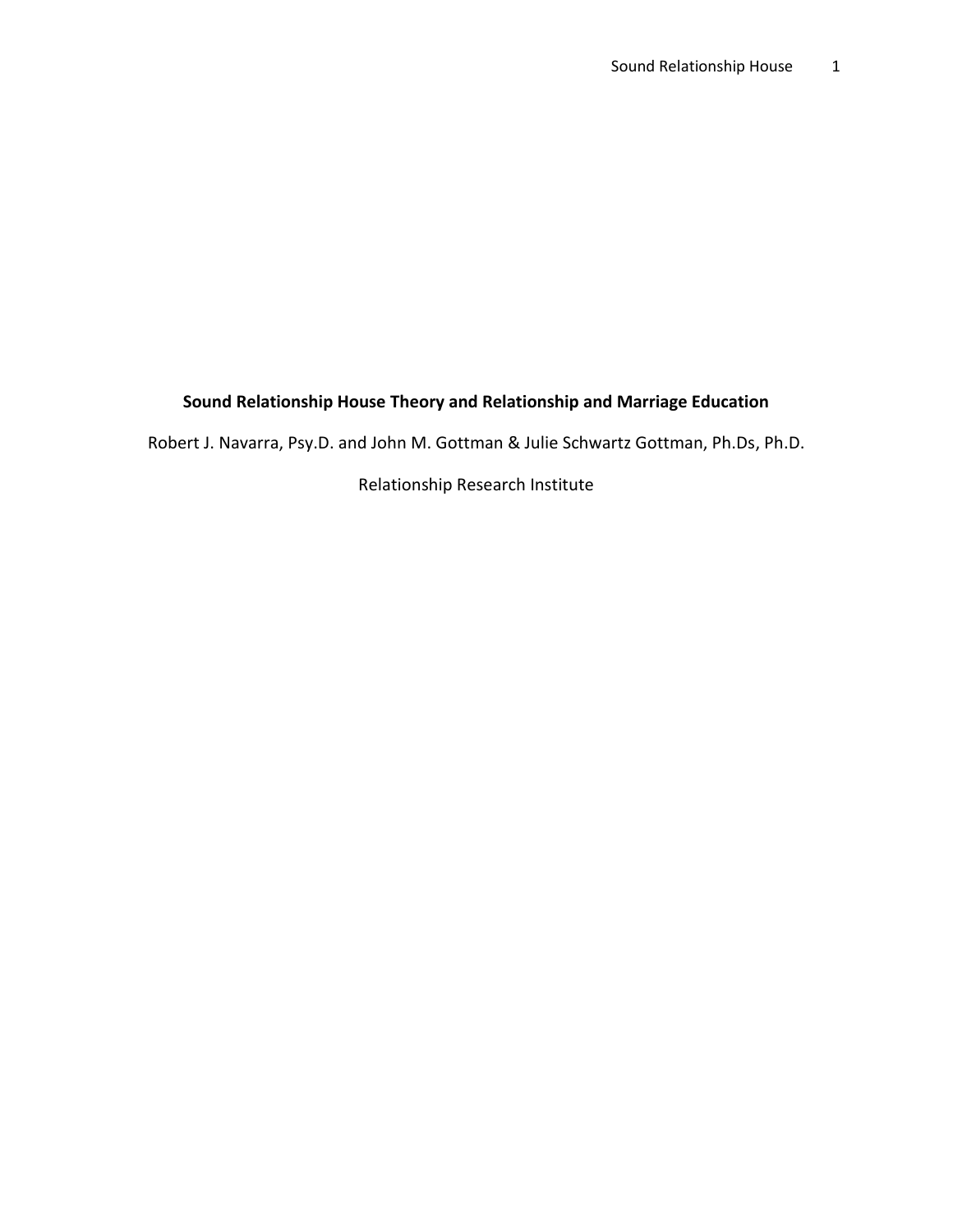# **Sound Relationship House Theory and Relationship and Marriage Education**

Robert J. Navarra, Psy.D. and John M. Gottman & Julie Schwartz Gottman, Ph.Ds, Ph.D.

Relationship Research Institute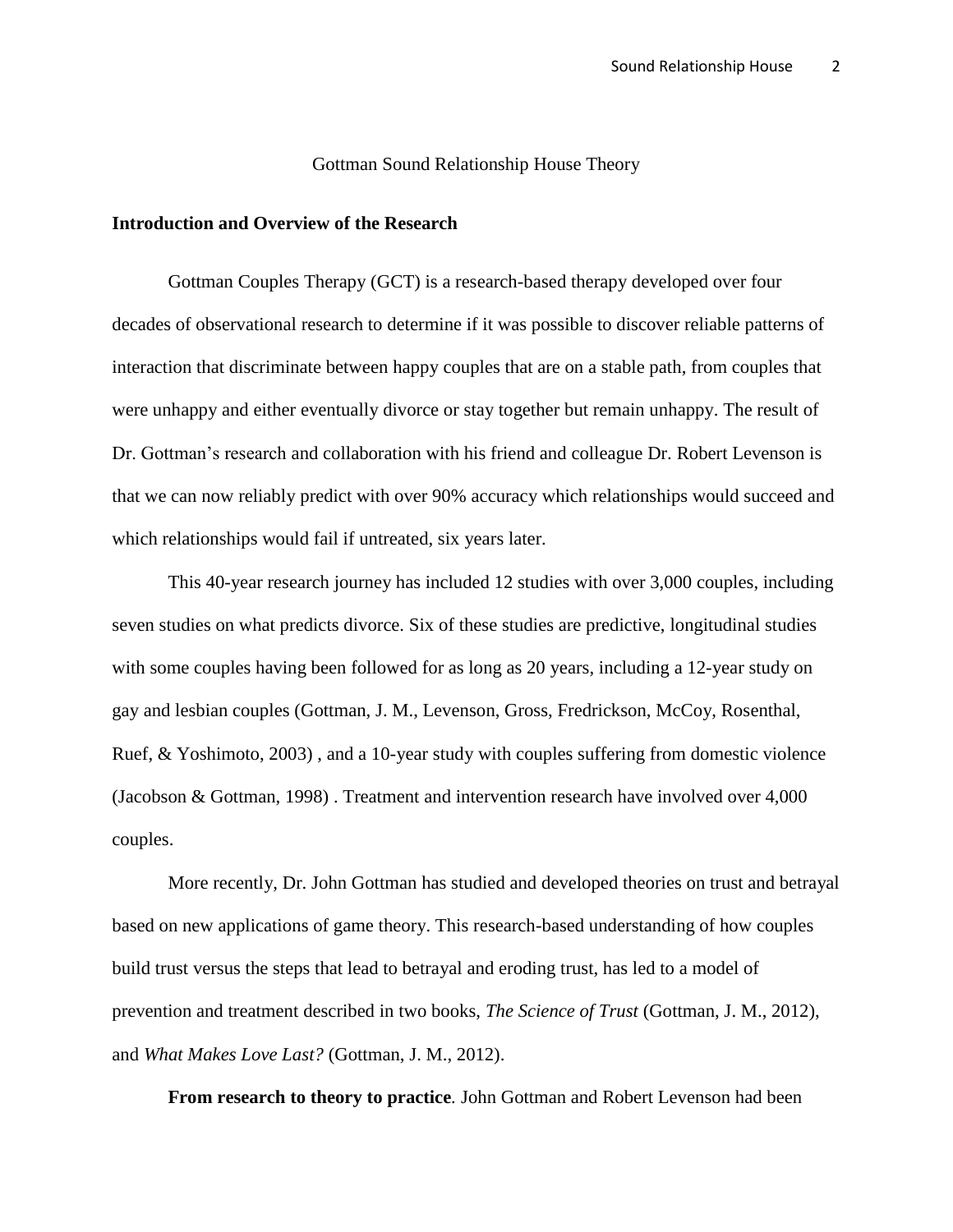### Gottman Sound Relationship House Theory

### **Introduction and Overview of the Research**

Gottman Couples Therapy (GCT) is a research-based therapy developed over four decades of observational research to determine if it was possible to discover reliable patterns of interaction that discriminate between happy couples that are on a stable path, from couples that were unhappy and either eventually divorce or stay together but remain unhappy. The result of Dr. Gottman's research and collaboration with his friend and colleague Dr. Robert Levenson is that we can now reliably predict with over 90% accuracy which relationships would succeed and which relationships would fail if untreated, six years later.

This 40-year research journey has included 12 studies with over 3,000 couples, including seven studies on what predicts divorce. Six of these studies are predictive, longitudinal studies with some couples having been followed for as long as 20 years, including a 12-year study on gay and lesbian couples (Gottman, J. M., Levenson, Gross, Fredrickson, McCoy, Rosenthal, Ruef, & Yoshimoto, 2003) , and a 10-year study with couples suffering from domestic violence (Jacobson & Gottman, 1998) . Treatment and intervention research have involved over 4,000 couples.

More recently, Dr. John Gottman has studied and developed theories on trust and betrayal based on new applications of game theory. This research-based understanding of how couples build trust versus the steps that lead to betrayal and eroding trust, has led to a model of prevention and treatment described in two books, *The Science of Trust* (Gottman, J. M., 2012), and *What Makes Love Last?* (Gottman, J. M., 2012).

**From research to theory to practice***.* John Gottman and Robert Levenson had been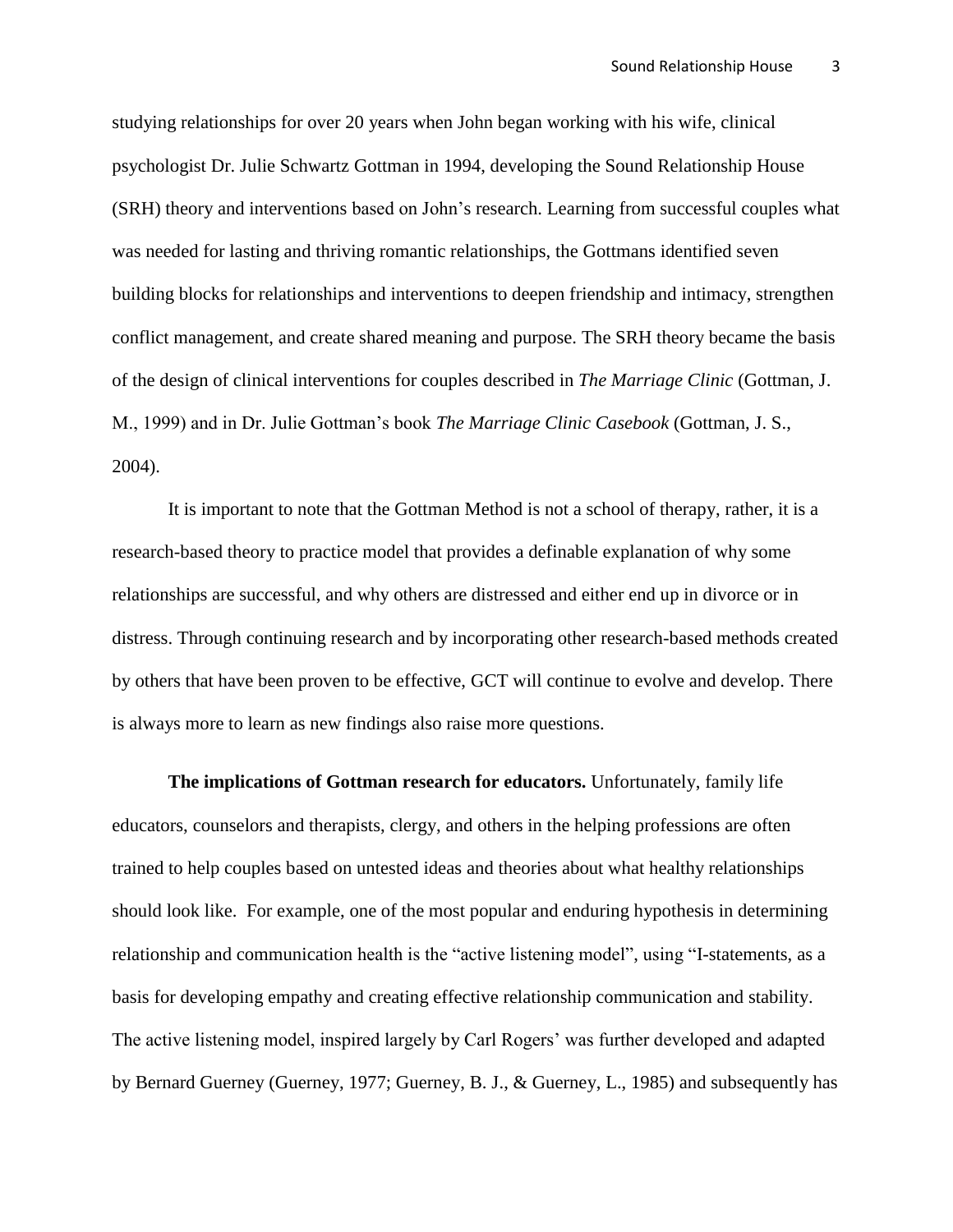studying relationships for over 20 years when John began working with his wife, clinical psychologist Dr. Julie Schwartz Gottman in 1994, developing the Sound Relationship House (SRH) theory and interventions based on John's research. Learning from successful couples what was needed for lasting and thriving romantic relationships, the Gottmans identified seven building blocks for relationships and interventions to deepen friendship and intimacy, strengthen conflict management, and create shared meaning and purpose. The SRH theory became the basis of the design of clinical interventions for couples described in *The Marriage Clinic* (Gottman, J. M., 1999) and in Dr. Julie Gottman's book *The Marriage Clinic Casebook* (Gottman, J. S., 2004).

It is important to note that the Gottman Method is not a school of therapy, rather, it is a research-based theory to practice model that provides a definable explanation of why some relationships are successful, and why others are distressed and either end up in divorce or in distress. Through continuing research and by incorporating other research-based methods created by others that have been proven to be effective, GCT will continue to evolve and develop. There is always more to learn as new findings also raise more questions.

**The implications of Gottman research for educators.** Unfortunately, family life educators, counselors and therapists, clergy, and others in the helping professions are often trained to help couples based on untested ideas and theories about what healthy relationships should look like. For example, one of the most popular and enduring hypothesis in determining relationship and communication health is the "active listening model", using "I-statements, as a basis for developing empathy and creating effective relationship communication and stability. The active listening model, inspired largely by Carl Rogers' was further developed and adapted by Bernard Guerney (Guerney, 1977; Guerney, B. J., & Guerney, L., 1985) and subsequently has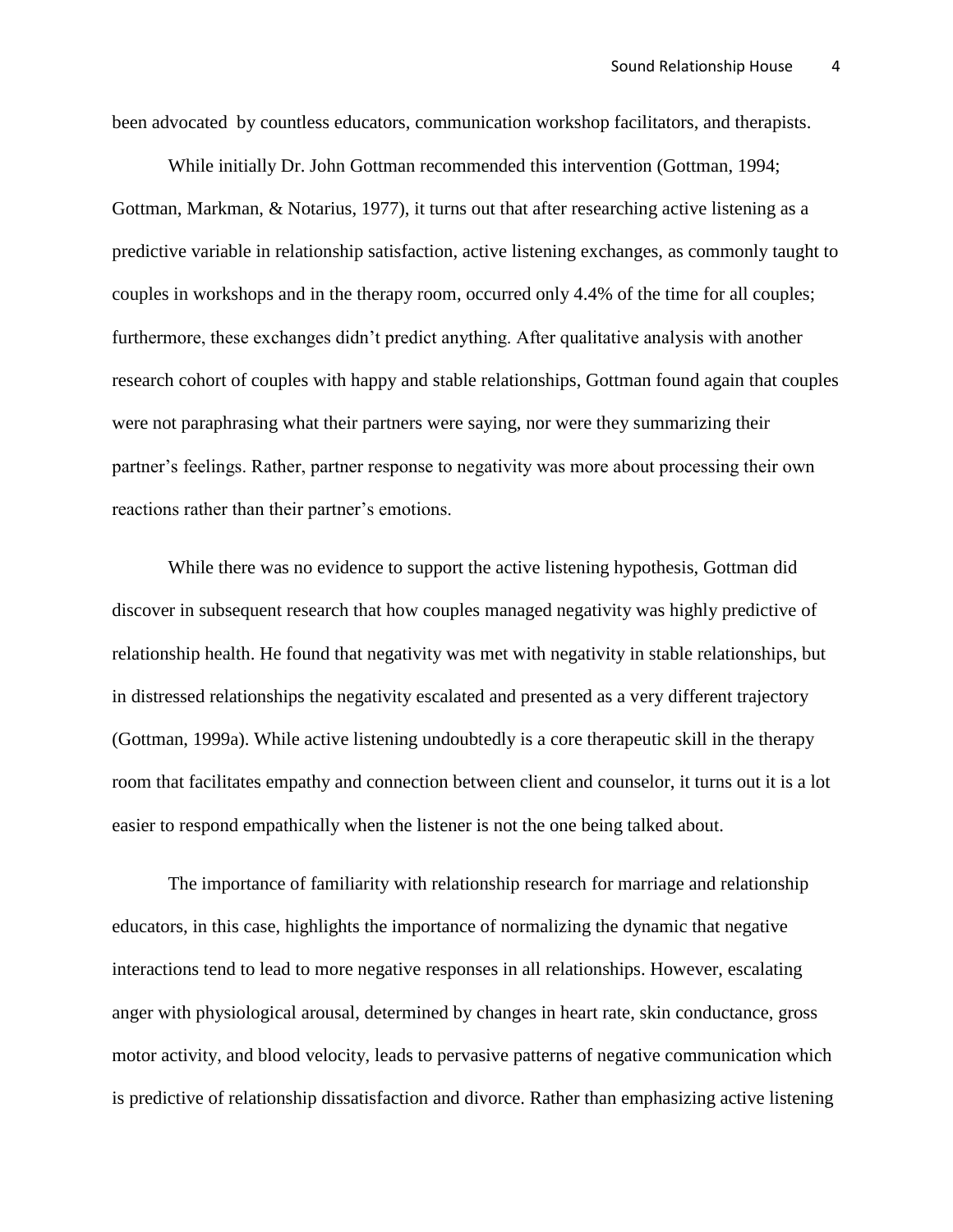been advocated by countless educators, communication workshop facilitators, and therapists.

While initially Dr. John Gottman recommended this intervention (Gottman, 1994; Gottman, Markman, & Notarius, 1977), it turns out that after researching active listening as a predictive variable in relationship satisfaction, active listening exchanges, as commonly taught to couples in workshops and in the therapy room, occurred only 4.4% of the time for all couples; furthermore, these exchanges didn't predict anything. After qualitative analysis with another research cohort of couples with happy and stable relationships, Gottman found again that couples were not paraphrasing what their partners were saying, nor were they summarizing their partner's feelings. Rather, partner response to negativity was more about processing their own reactions rather than their partner's emotions.

While there was no evidence to support the active listening hypothesis, Gottman did discover in subsequent research that how couples managed negativity was highly predictive of relationship health. He found that negativity was met with negativity in stable relationships, but in distressed relationships the negativity escalated and presented as a very different trajectory (Gottman, 1999a). While active listening undoubtedly is a core therapeutic skill in the therapy room that facilitates empathy and connection between client and counselor, it turns out it is a lot easier to respond empathically when the listener is not the one being talked about.

The importance of familiarity with relationship research for marriage and relationship educators, in this case, highlights the importance of normalizing the dynamic that negative interactions tend to lead to more negative responses in all relationships. However, escalating anger with physiological arousal, determined by changes in heart rate, skin conductance, gross motor activity, and blood velocity, leads to pervasive patterns of negative communication which is predictive of relationship dissatisfaction and divorce. Rather than emphasizing active listening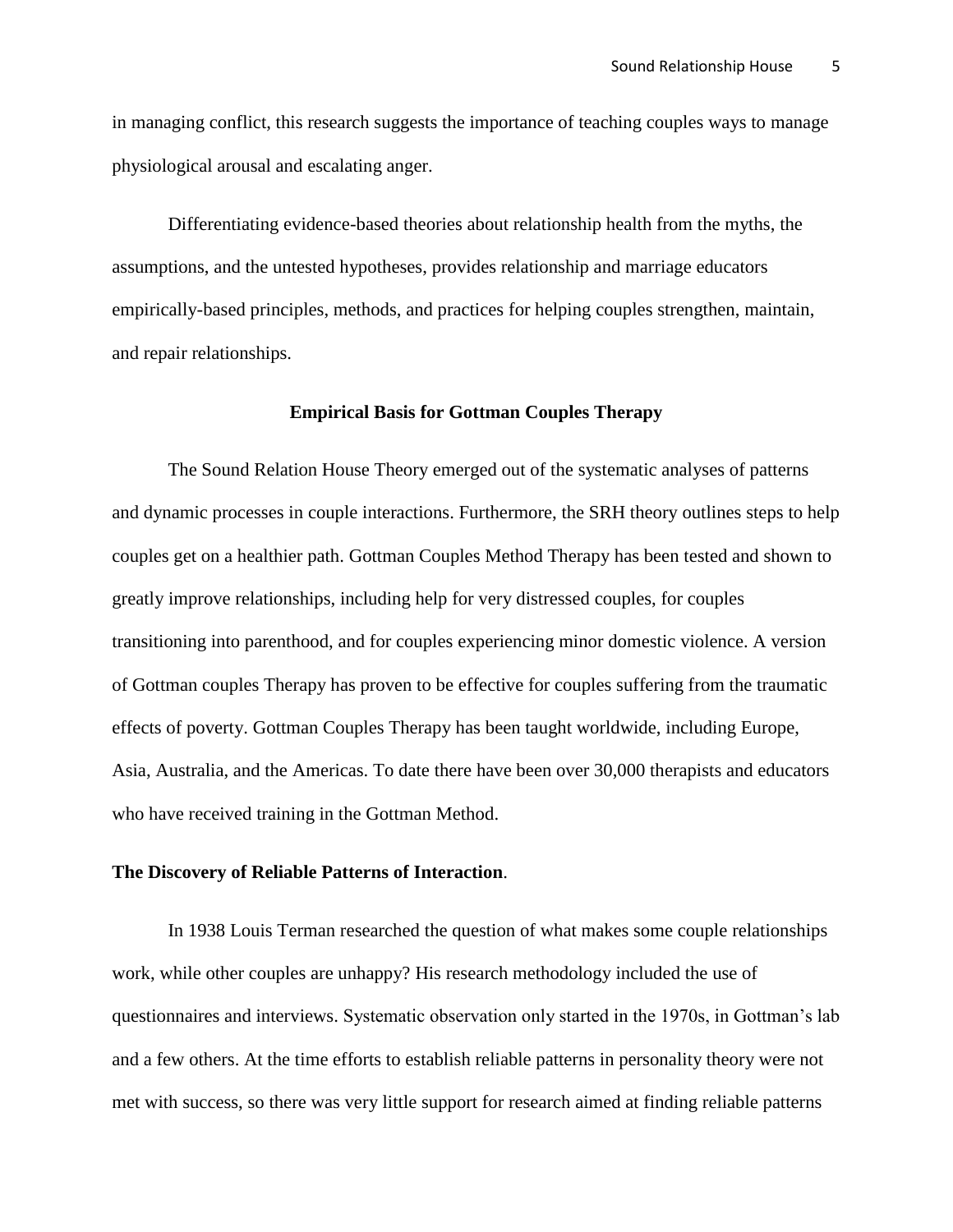in managing conflict, this research suggests the importance of teaching couples ways to manage physiological arousal and escalating anger.

Differentiating evidence-based theories about relationship health from the myths, the assumptions, and the untested hypotheses, provides relationship and marriage educators empirically-based principles, methods, and practices for helping couples strengthen, maintain, and repair relationships.

#### **Empirical Basis for Gottman Couples Therapy**

The Sound Relation House Theory emerged out of the systematic analyses of patterns and dynamic processes in couple interactions. Furthermore, the SRH theory outlines steps to help couples get on a healthier path. Gottman Couples Method Therapy has been tested and shown to greatly improve relationships, including help for very distressed couples, for couples transitioning into parenthood, and for couples experiencing minor domestic violence. A version of Gottman couples Therapy has proven to be effective for couples suffering from the traumatic effects of poverty. Gottman Couples Therapy has been taught worldwide, including Europe, Asia, Australia, and the Americas. To date there have been over 30,000 therapists and educators who have received training in the Gottman Method.

## **The Discovery of Reliable Patterns of Interaction**.

In 1938 Louis Terman researched the question of what makes some couple relationships work, while other couples are unhappy? His research methodology included the use of questionnaires and interviews. Systematic observation only started in the 1970s, in Gottman's lab and a few others. At the time efforts to establish reliable patterns in personality theory were not met with success, so there was very little support for research aimed at finding reliable patterns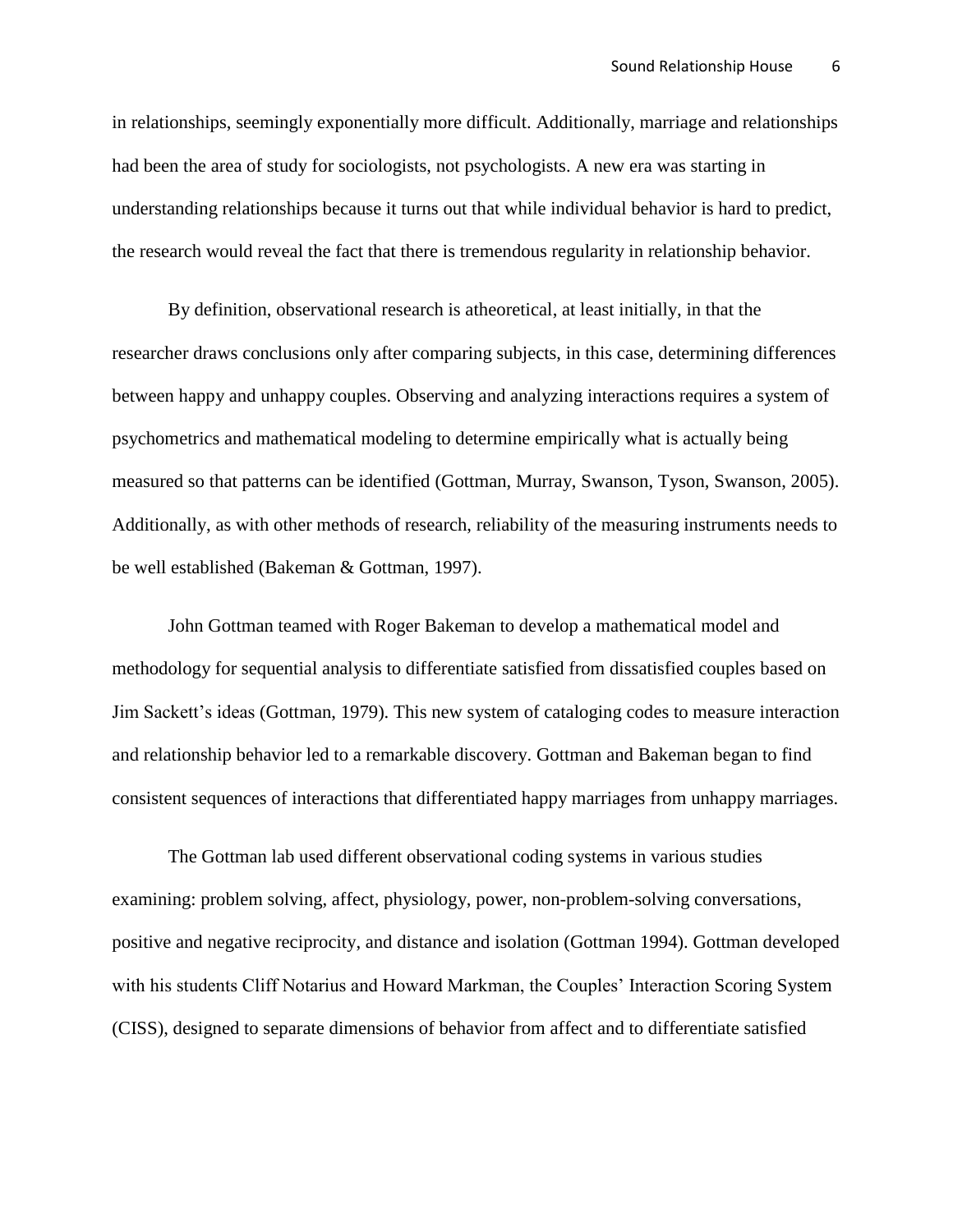in relationships, seemingly exponentially more difficult. Additionally, marriage and relationships had been the area of study for sociologists, not psychologists. A new era was starting in understanding relationships because it turns out that while individual behavior is hard to predict, the research would reveal the fact that there is tremendous regularity in relationship behavior.

By definition, observational research is atheoretical, at least initially, in that the researcher draws conclusions only after comparing subjects, in this case, determining differences between happy and unhappy couples. Observing and analyzing interactions requires a system of psychometrics and mathematical modeling to determine empirically what is actually being measured so that patterns can be identified (Gottman, Murray, Swanson, Tyson, Swanson, 2005). Additionally, as with other methods of research, reliability of the measuring instruments needs to be well established (Bakeman & Gottman, 1997).

John Gottman teamed with Roger Bakeman to develop a mathematical model and methodology for sequential analysis to differentiate satisfied from dissatisfied couples based on Jim Sackett's ideas (Gottman, 1979). This new system of cataloging codes to measure interaction and relationship behavior led to a remarkable discovery. Gottman and Bakeman began to find consistent sequences of interactions that differentiated happy marriages from unhappy marriages.

The Gottman lab used different observational coding systems in various studies examining: problem solving, affect, physiology, power, non-problem-solving conversations, positive and negative reciprocity, and distance and isolation (Gottman 1994). Gottman developed with his students Cliff Notarius and Howard Markman, the Couples' Interaction Scoring System (CISS), designed to separate dimensions of behavior from affect and to differentiate satisfied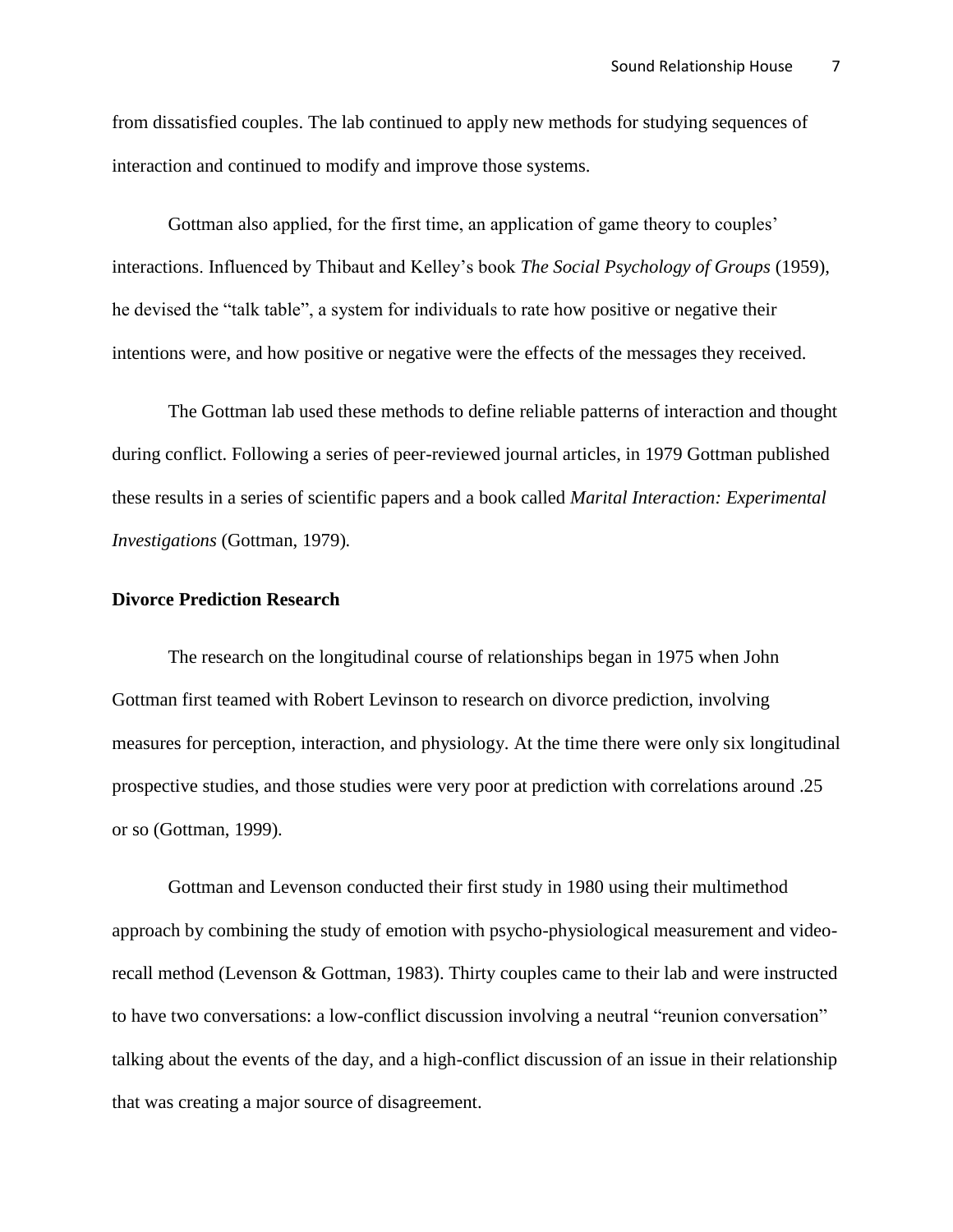from dissatisfied couples. The lab continued to apply new methods for studying sequences of interaction and continued to modify and improve those systems.

Gottman also applied, for the first time, an application of game theory to couples' interactions. Influenced by Thibaut and Kelley's book *The Social Psychology of Groups* (1959), he devised the "talk table", a system for individuals to rate how positive or negative their intentions were, and how positive or negative were the effects of the messages they received.

The Gottman lab used these methods to define reliable patterns of interaction and thought during conflict. Following a series of peer-reviewed journal articles, in 1979 Gottman published these results in a series of scientific papers and a book called *Marital Interaction: Experimental Investigations* (Gottman, 1979)*.* 

### **Divorce Prediction Research**

The research on the longitudinal course of relationships began in 1975 when John Gottman first teamed with Robert Levinson to research on divorce prediction, involving measures for perception, interaction, and physiology. At the time there were only six longitudinal prospective studies, and those studies were very poor at prediction with correlations around .25 or so (Gottman, 1999).

Gottman and Levenson conducted their first study in 1980 using their multimethod approach by combining the study of emotion with psycho-physiological measurement and videorecall method (Levenson & Gottman, 1983). Thirty couples came to their lab and were instructed to have two conversations: a low-conflict discussion involving a neutral "reunion conversation" talking about the events of the day, and a high-conflict discussion of an issue in their relationship that was creating a major source of disagreement.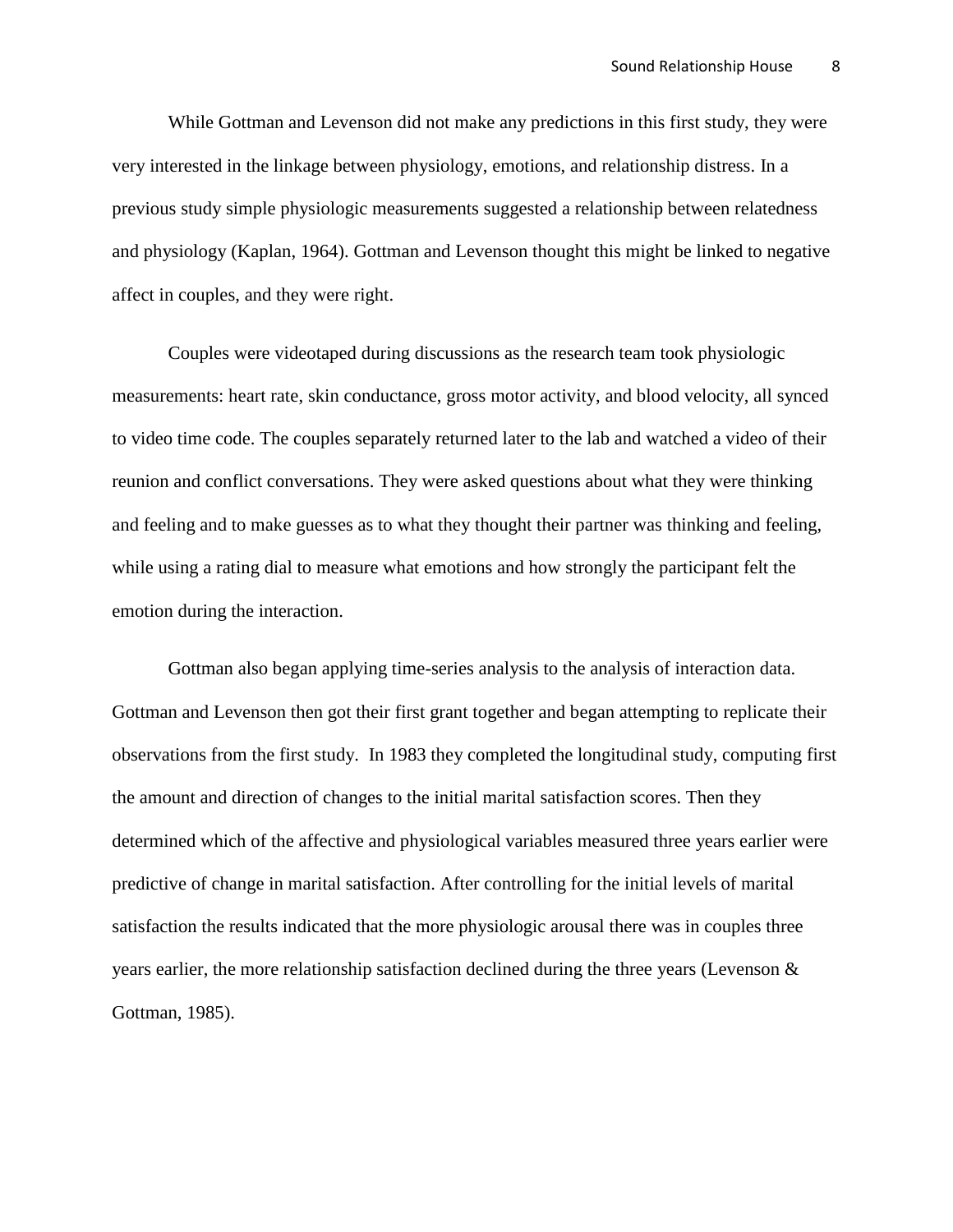While Gottman and Levenson did not make any predictions in this first study, they were very interested in the linkage between physiology, emotions, and relationship distress. In a previous study simple physiologic measurements suggested a relationship between relatedness and physiology (Kaplan, 1964). Gottman and Levenson thought this might be linked to negative affect in couples, and they were right.

Couples were videotaped during discussions as the research team took physiologic measurements: heart rate, skin conductance, gross motor activity, and blood velocity, all synced to video time code. The couples separately returned later to the lab and watched a video of their reunion and conflict conversations. They were asked questions about what they were thinking and feeling and to make guesses as to what they thought their partner was thinking and feeling, while using a rating dial to measure what emotions and how strongly the participant felt the emotion during the interaction.

Gottman also began applying time-series analysis to the analysis of interaction data. Gottman and Levenson then got their first grant together and began attempting to replicate their observations from the first study. In 1983 they completed the longitudinal study, computing first the amount and direction of changes to the initial marital satisfaction scores. Then they determined which of the affective and physiological variables measured three years earlier were predictive of change in marital satisfaction. After controlling for the initial levels of marital satisfaction the results indicated that the more physiologic arousal there was in couples three years earlier, the more relationship satisfaction declined during the three years (Levenson & Gottman, 1985).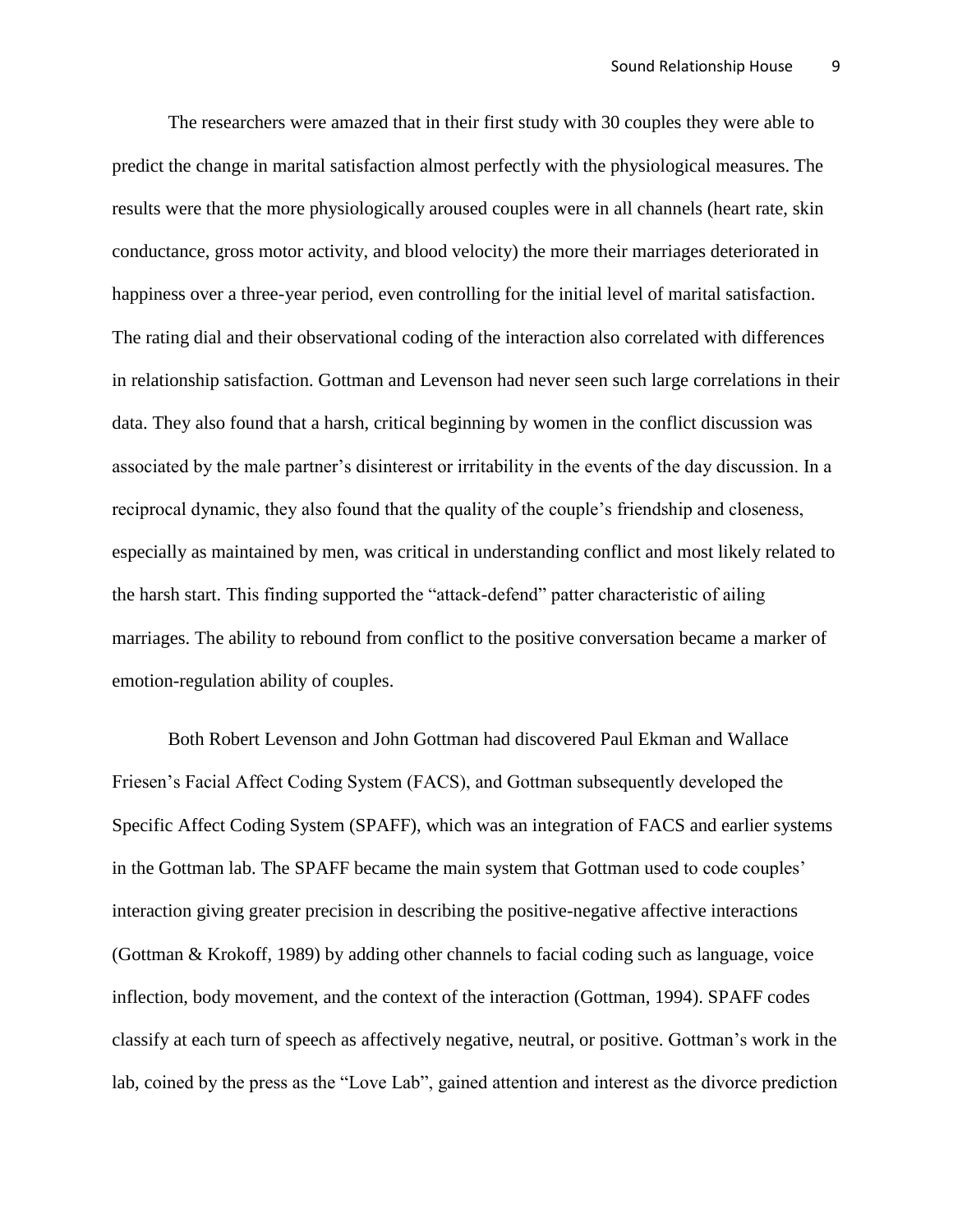The researchers were amazed that in their first study with 30 couples they were able to predict the change in marital satisfaction almost perfectly with the physiological measures. The results were that the more physiologically aroused couples were in all channels (heart rate, skin conductance, gross motor activity, and blood velocity) the more their marriages deteriorated in happiness over a three-year period, even controlling for the initial level of marital satisfaction. The rating dial and their observational coding of the interaction also correlated with differences in relationship satisfaction. Gottman and Levenson had never seen such large correlations in their data. They also found that a harsh, critical beginning by women in the conflict discussion was associated by the male partner's disinterest or irritability in the events of the day discussion. In a reciprocal dynamic, they also found that the quality of the couple's friendship and closeness, especially as maintained by men, was critical in understanding conflict and most likely related to the harsh start. This finding supported the "attack-defend" patter characteristic of ailing marriages. The ability to rebound from conflict to the positive conversation became a marker of emotion-regulation ability of couples.

Both Robert Levenson and John Gottman had discovered Paul Ekman and Wallace Friesen's Facial Affect Coding System (FACS), and Gottman subsequently developed the Specific Affect Coding System (SPAFF), which was an integration of FACS and earlier systems in the Gottman lab. The SPAFF became the main system that Gottman used to code couples' interaction giving greater precision in describing the positive-negative affective interactions (Gottman & Krokoff, 1989) by adding other channels to facial coding such as language, voice inflection, body movement, and the context of the interaction (Gottman, 1994). SPAFF codes classify at each turn of speech as affectively negative, neutral, or positive. Gottman's work in the lab, coined by the press as the "Love Lab", gained attention and interest as the divorce prediction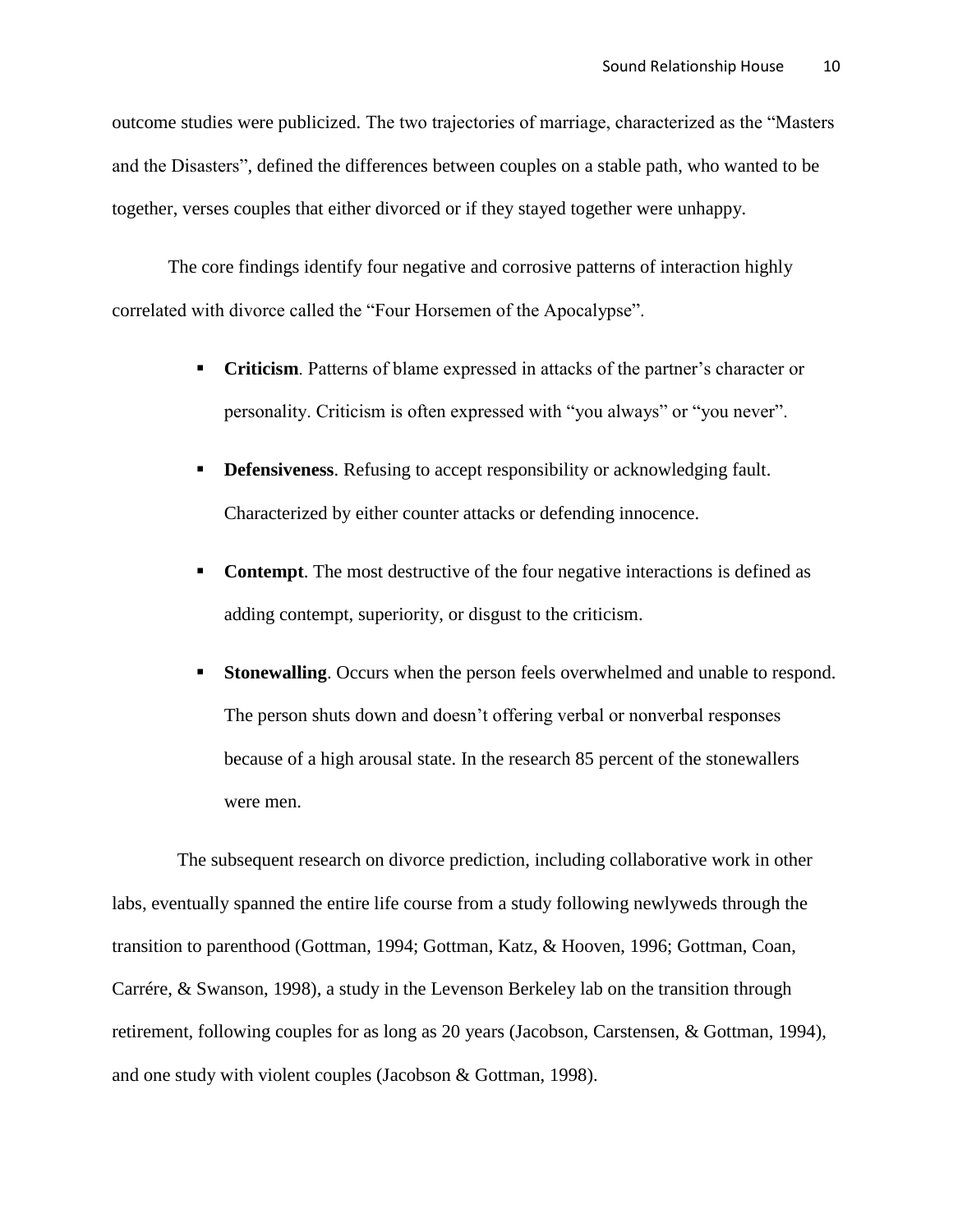outcome studies were publicized. The two trajectories of marriage, characterized as the "Masters and the Disasters", defined the differences between couples on a stable path, who wanted to be together, verses couples that either divorced or if they stayed together were unhappy.

The core findings identify four negative and corrosive patterns of interaction highly correlated with divorce called the "Four Horsemen of the Apocalypse".

- **Criticism**. Patterns of blame expressed in attacks of the partner's character or personality. Criticism is often expressed with "you always" or "you never".
- **Defensiveness.** Refusing to accept responsibility or acknowledging fault. Characterized by either counter attacks or defending innocence.
- **Contempt**. The most destructive of the four negative interactions is defined as adding contempt, superiority, or disgust to the criticism.
- **Stonewalling**. Occurs when the person feels overwhelmed and unable to respond. The person shuts down and doesn't offering verbal or nonverbal responses because of a high arousal state. In the research 85 percent of the stonewallers were men.

The subsequent research on divorce prediction, including collaborative work in other labs, eventually spanned the entire life course from a study following newlyweds through the transition to parenthood (Gottman, 1994; Gottman, Katz, & Hooven, 1996; Gottman, Coan, Carrére, & Swanson, 1998), a study in the Levenson Berkeley lab on the transition through retirement, following couples for as long as 20 years (Jacobson, Carstensen, & Gottman, 1994), and one study with violent couples (Jacobson & Gottman, 1998).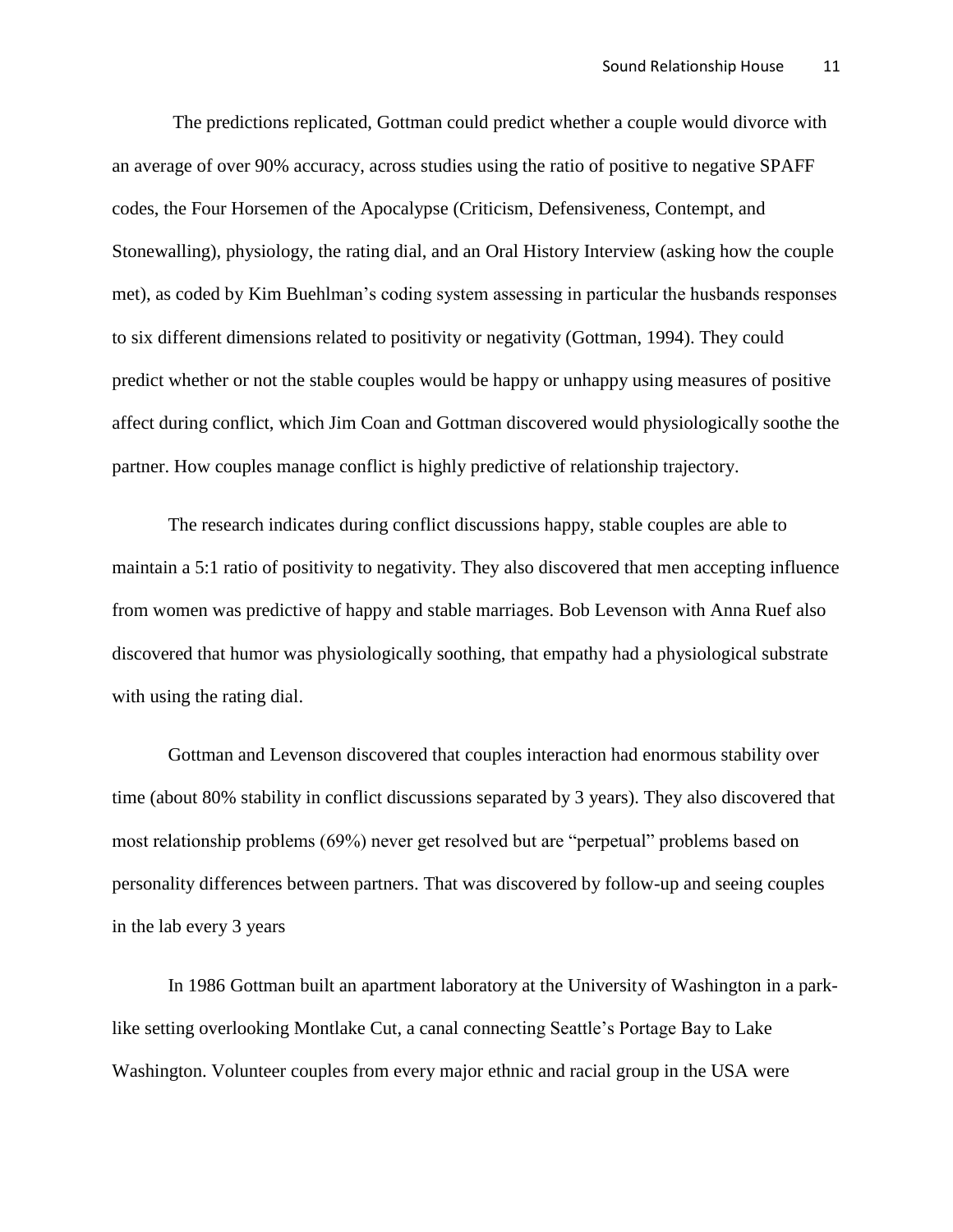The predictions replicated, Gottman could predict whether a couple would divorce with an average of over 90% accuracy, across studies using the ratio of positive to negative SPAFF codes, the Four Horsemen of the Apocalypse (Criticism, Defensiveness, Contempt, and Stonewalling), physiology, the rating dial, and an Oral History Interview (asking how the couple met), as coded by Kim Buehlman's coding system assessing in particular the husbands responses to six different dimensions related to positivity or negativity (Gottman, 1994). They could predict whether or not the stable couples would be happy or unhappy using measures of positive affect during conflict, which Jim Coan and Gottman discovered would physiologically soothe the partner. How couples manage conflict is highly predictive of relationship trajectory.

The research indicates during conflict discussions happy, stable couples are able to maintain a 5:1 ratio of positivity to negativity. They also discovered that men accepting influence from women was predictive of happy and stable marriages. Bob Levenson with Anna Ruef also discovered that humor was physiologically soothing, that empathy had a physiological substrate with using the rating dial.

Gottman and Levenson discovered that couples interaction had enormous stability over time (about 80% stability in conflict discussions separated by 3 years). They also discovered that most relationship problems (69%) never get resolved but are "perpetual" problems based on personality differences between partners. That was discovered by follow-up and seeing couples in the lab every 3 years

In 1986 Gottman built an apartment laboratory at the University of Washington in a parklike setting overlooking Montlake Cut, a canal connecting Seattle's Portage Bay to Lake Washington. Volunteer couples from every major ethnic and racial group in the USA were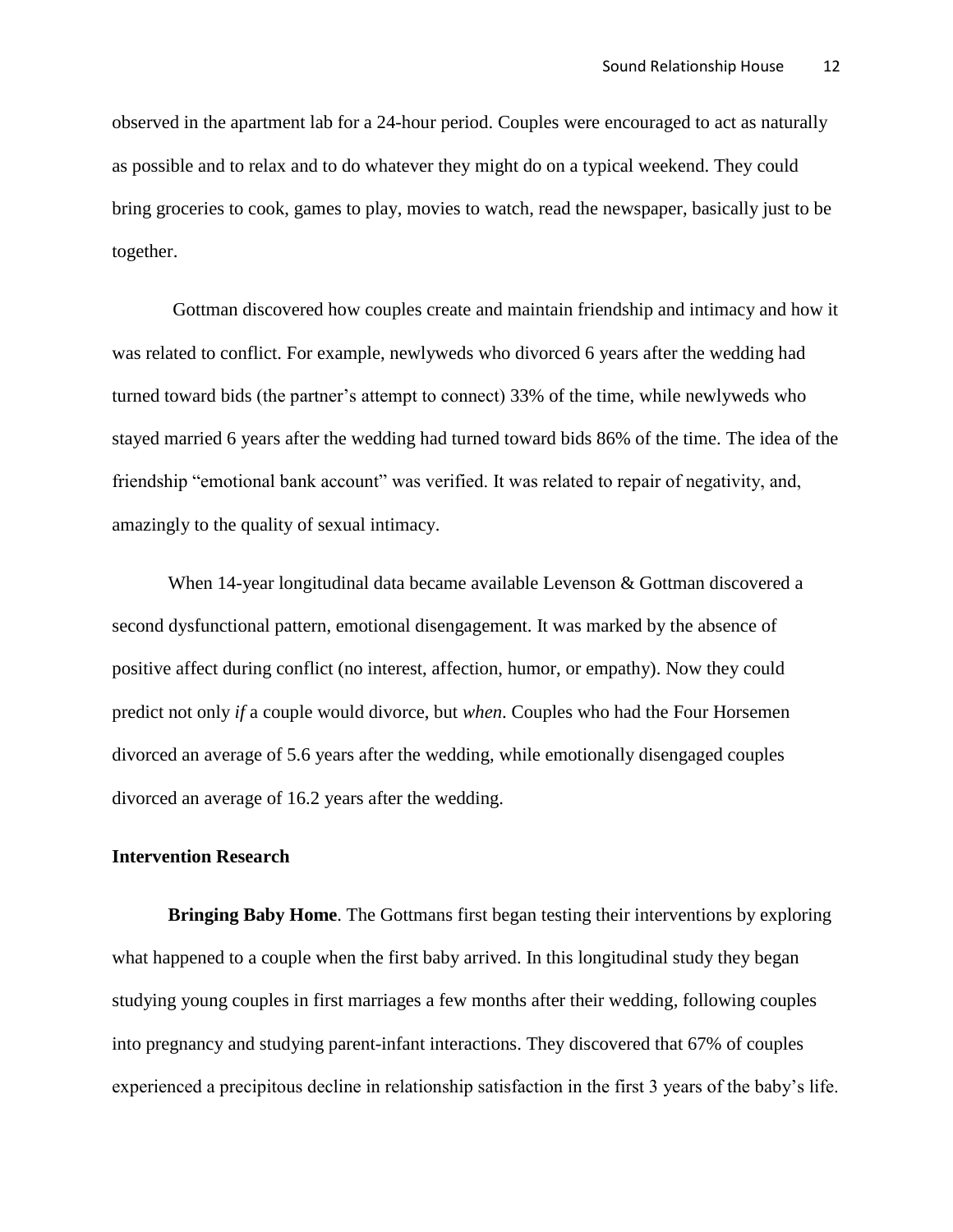observed in the apartment lab for a 24-hour period. Couples were encouraged to act as naturally as possible and to relax and to do whatever they might do on a typical weekend. They could bring groceries to cook, games to play, movies to watch, read the newspaper, basically just to be together.

Gottman discovered how couples create and maintain friendship and intimacy and how it was related to conflict. For example, newlyweds who divorced 6 years after the wedding had turned toward bids (the partner's attempt to connect) 33% of the time, while newlyweds who stayed married 6 years after the wedding had turned toward bids 86% of the time. The idea of the friendship "emotional bank account" was verified. It was related to repair of negativity, and, amazingly to the quality of sexual intimacy.

When 14-year longitudinal data became available Levenson & Gottman discovered a second dysfunctional pattern, emotional disengagement. It was marked by the absence of positive affect during conflict (no interest, affection, humor, or empathy). Now they could predict not only *if* a couple would divorce, but *when*. Couples who had the Four Horsemen divorced an average of 5.6 years after the wedding, while emotionally disengaged couples divorced an average of 16.2 years after the wedding.

## **Intervention Research**

**Bringing Baby Home**. The Gottmans first began testing their interventions by exploring what happened to a couple when the first baby arrived. In this longitudinal study they began studying young couples in first marriages a few months after their wedding, following couples into pregnancy and studying parent-infant interactions. They discovered that 67% of couples experienced a precipitous decline in relationship satisfaction in the first 3 years of the baby's life.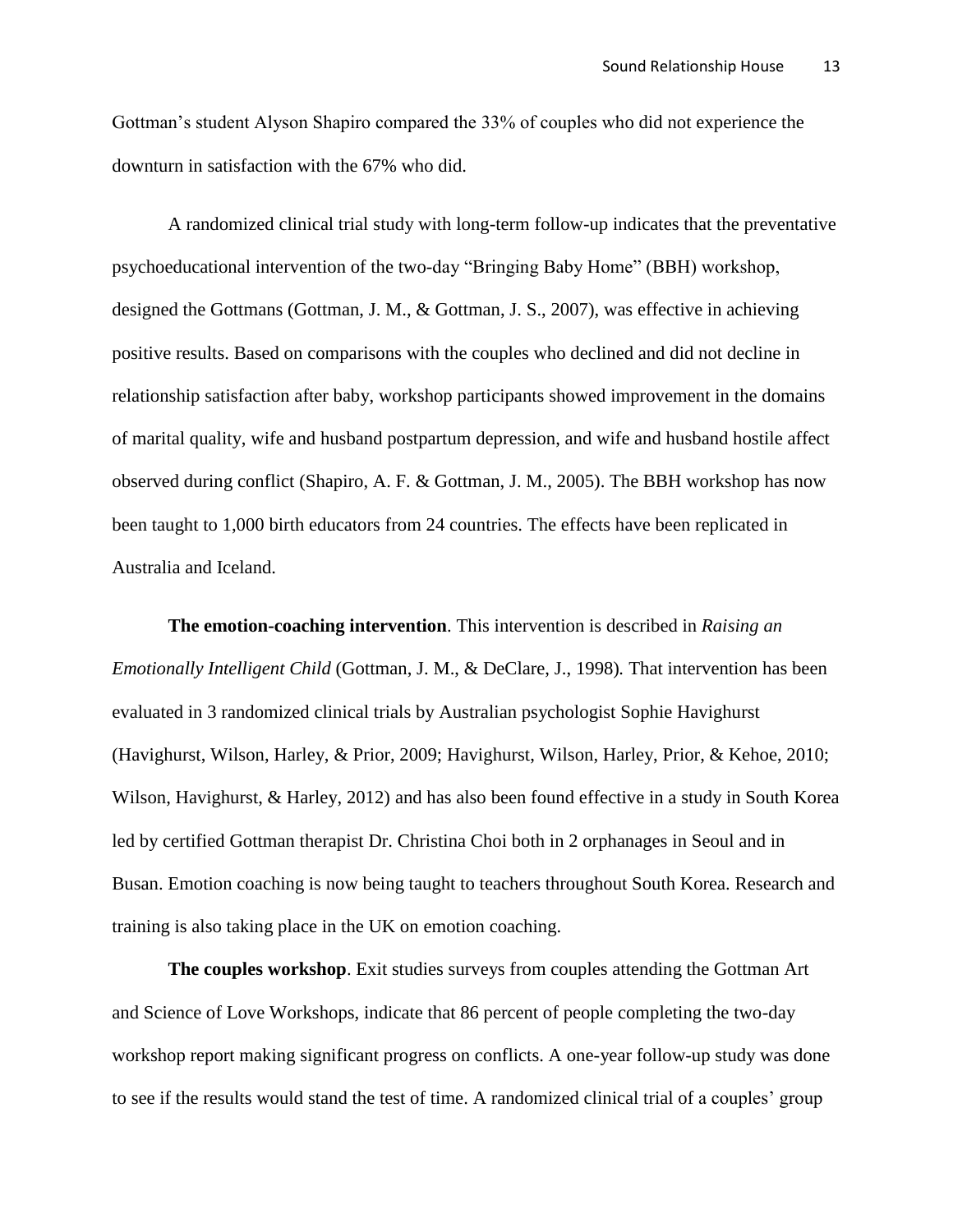Gottman's student Alyson Shapiro compared the 33% of couples who did not experience the downturn in satisfaction with the 67% who did.

A randomized clinical trial study with long-term follow-up indicates that the preventative psychoeducational intervention of the two-day "Bringing Baby Home" (BBH) workshop, designed the Gottmans (Gottman, J. M., & Gottman, J. S., 2007), was effective in achieving positive results. Based on comparisons with the couples who declined and did not decline in relationship satisfaction after baby, workshop participants showed improvement in the domains of marital quality, wife and husband postpartum depression, and wife and husband hostile affect observed during conflict (Shapiro, A. F. & Gottman, J. M., 2005). The BBH workshop has now been taught to 1,000 birth educators from 24 countries. The effects have been replicated in Australia and Iceland.

**The emotion-coaching intervention**. This intervention is described in *Raising an Emotionally Intelligent Child* (Gottman, J. M., & DeClare, J., 1998)*.* That intervention has been evaluated in 3 randomized clinical trials by Australian psychologist Sophie Havighurst (Havighurst, Wilson, Harley, & Prior, 2009; Havighurst, Wilson, Harley, Prior, & Kehoe, 2010; Wilson, Havighurst, & Harley, 2012) and has also been found effective in a study in South Korea led by certified Gottman therapist Dr. Christina Choi both in 2 orphanages in Seoul and in Busan. Emotion coaching is now being taught to teachers throughout South Korea. Research and training is also taking place in the UK on emotion coaching.

**The couples workshop**. Exit studies surveys from couples attending the Gottman Art and Science of Love Workshops, indicate that 86 percent of people completing the two-day workshop report making significant progress on conflicts. A one-year follow-up study was done to see if the results would stand the test of time. A randomized clinical trial of a couples' group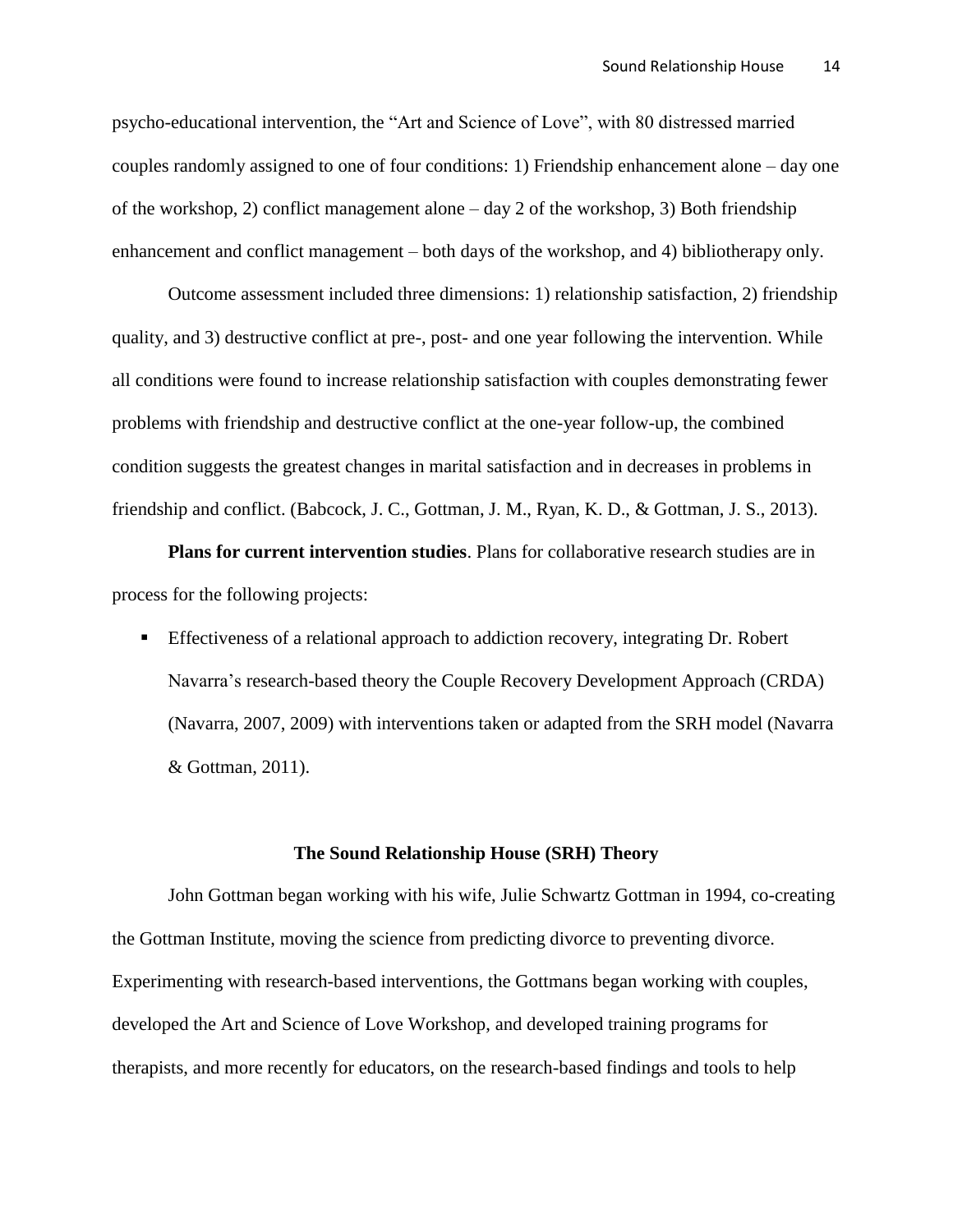psycho-educational intervention, the "Art and Science of Love", with 80 distressed married couples randomly assigned to one of four conditions: 1) Friendship enhancement alone – day one of the workshop, 2) conflict management alone – day 2 of the workshop, 3) Both friendship enhancement and conflict management – both days of the workshop, and 4) bibliotherapy only.

Outcome assessment included three dimensions: 1) relationship satisfaction, 2) friendship quality, and 3) destructive conflict at pre-, post- and one year following the intervention. While all conditions were found to increase relationship satisfaction with couples demonstrating fewer problems with friendship and destructive conflict at the one-year follow-up, the combined condition suggests the greatest changes in marital satisfaction and in decreases in problems in friendship and conflict. (Babcock, J. C., Gottman, J. M., Ryan, K. D., & Gottman, J. S., 2013).

**Plans for current intervention studies**. Plans for collaborative research studies are in process for the following projects:

 Effectiveness of a relational approach to addiction recovery, integrating Dr. Robert Navarra's research-based theory the Couple Recovery Development Approach (CRDA) (Navarra, 2007, 2009) with interventions taken or adapted from the SRH model (Navarra & Gottman, 2011).

#### **The Sound Relationship House (SRH) Theory**

John Gottman began working with his wife, Julie Schwartz Gottman in 1994, co-creating the Gottman Institute, moving the science from predicting divorce to preventing divorce. Experimenting with research-based interventions, the Gottmans began working with couples, developed the Art and Science of Love Workshop, and developed training programs for therapists, and more recently for educators, on the research-based findings and tools to help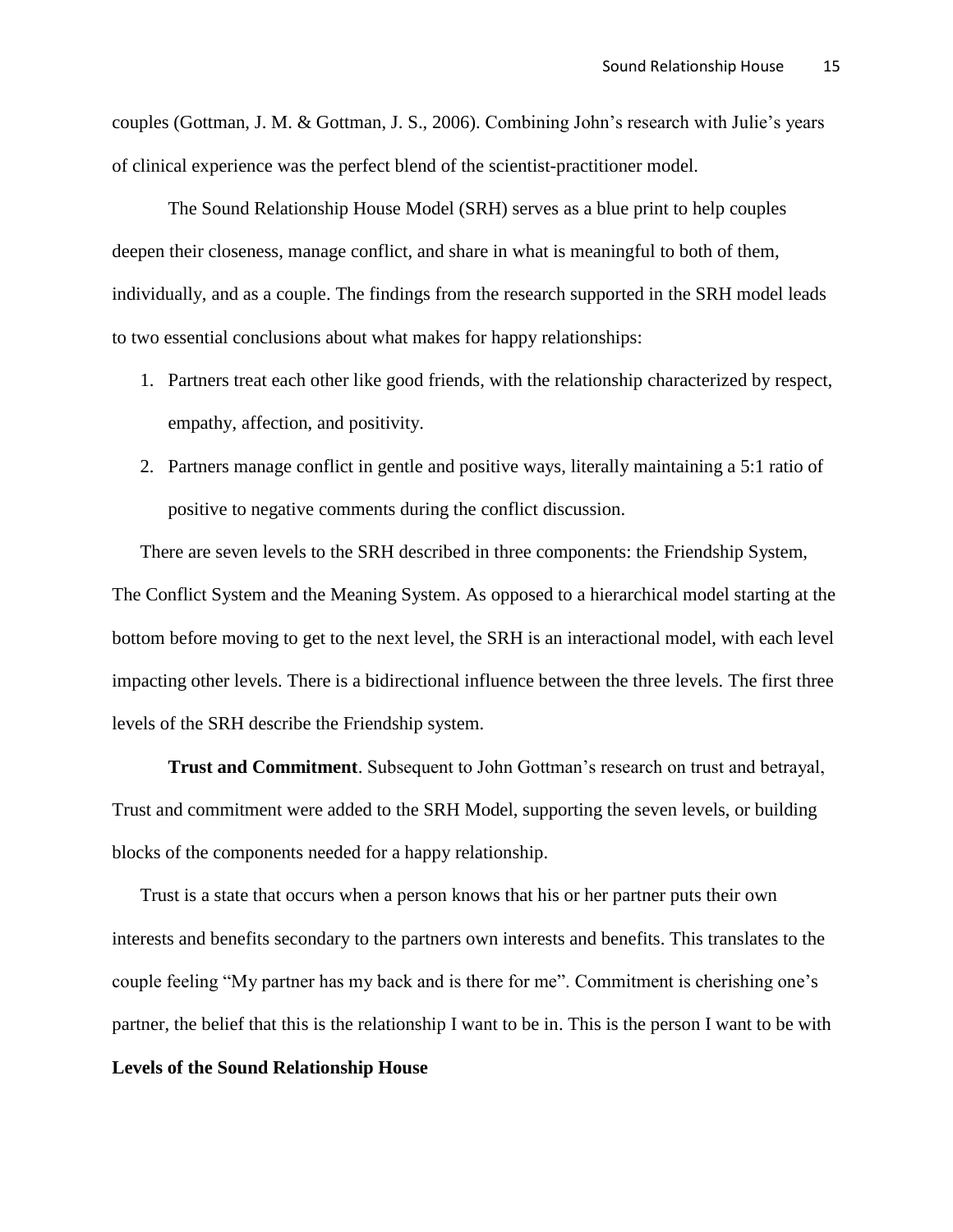couples (Gottman, J. M. & Gottman, J. S., 2006). Combining John's research with Julie's years of clinical experience was the perfect blend of the scientist-practitioner model.

The Sound Relationship House Model (SRH) serves as a blue print to help couples deepen their closeness, manage conflict, and share in what is meaningful to both of them, individually, and as a couple. The findings from the research supported in the SRH model leads to two essential conclusions about what makes for happy relationships:

- 1. Partners treat each other like good friends, with the relationship characterized by respect, empathy, affection, and positivity.
- 2. Partners manage conflict in gentle and positive ways, literally maintaining a 5:1 ratio of positive to negative comments during the conflict discussion.

There are seven levels to the SRH described in three components: the Friendship System, The Conflict System and the Meaning System. As opposed to a hierarchical model starting at the bottom before moving to get to the next level, the SRH is an interactional model, with each level impacting other levels. There is a bidirectional influence between the three levels. The first three levels of the SRH describe the Friendship system.

**Trust and Commitment**. Subsequent to John Gottman's research on trust and betrayal, Trust and commitment were added to the SRH Model, supporting the seven levels, or building blocks of the components needed for a happy relationship.

Trust is a state that occurs when a person knows that his or her partner puts their own interests and benefits secondary to the partners own interests and benefits. This translates to the couple feeling "My partner has my back and is there for me". Commitment is cherishing one's partner, the belief that this is the relationship I want to be in. This is the person I want to be with

### **Levels of the Sound Relationship House**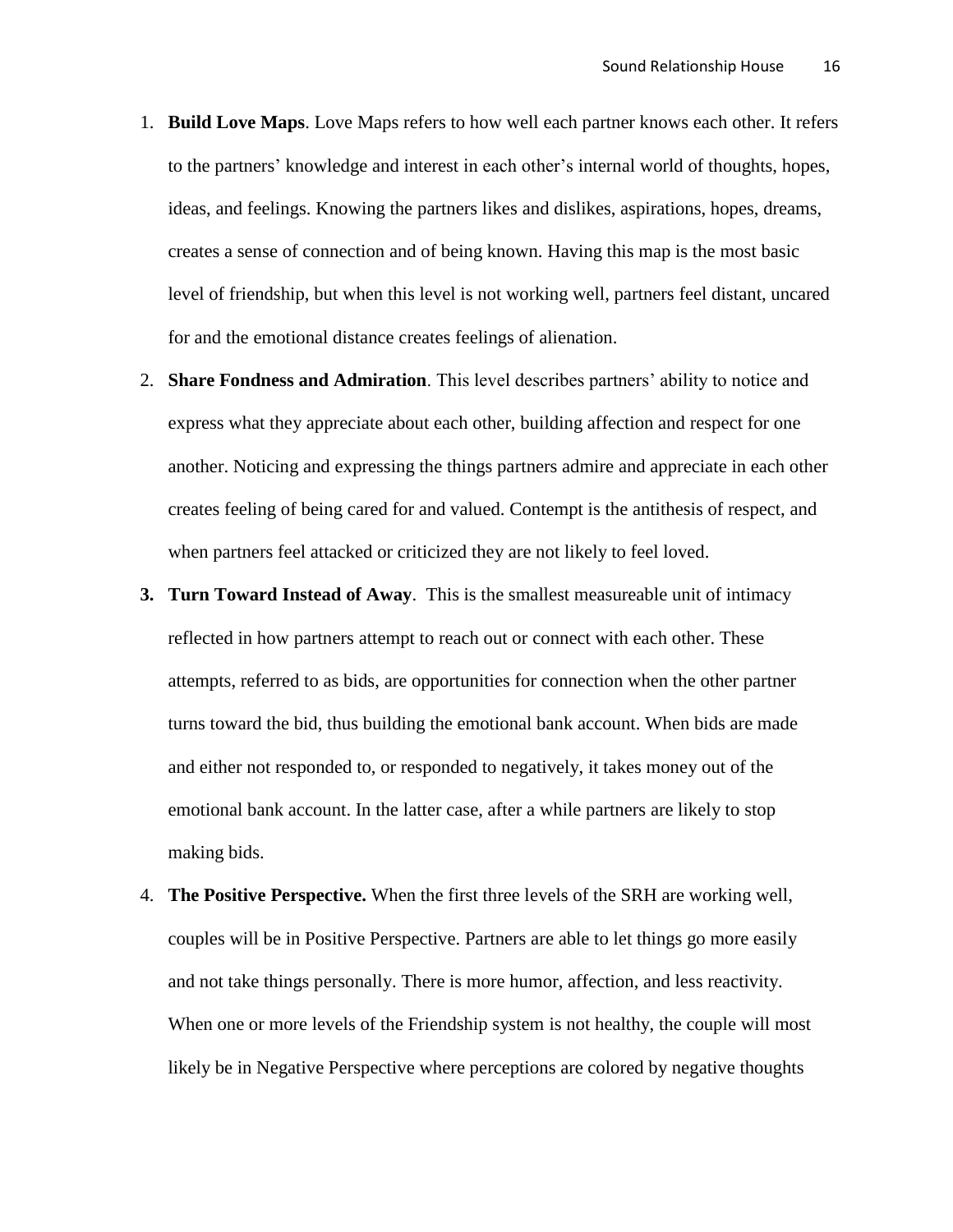- 1. **Build Love Maps**. Love Maps refers to how well each partner knows each other. It refers to the partners' knowledge and interest in each other's internal world of thoughts, hopes, ideas, and feelings. Knowing the partners likes and dislikes, aspirations, hopes, dreams, creates a sense of connection and of being known. Having this map is the most basic level of friendship, but when this level is not working well, partners feel distant, uncared for and the emotional distance creates feelings of alienation.
- 2. **Share Fondness and Admiration**. This level describes partners' ability to notice and express what they appreciate about each other, building affection and respect for one another. Noticing and expressing the things partners admire and appreciate in each other creates feeling of being cared for and valued. Contempt is the antithesis of respect, and when partners feel attacked or criticized they are not likely to feel loved.
- **3. Turn Toward Instead of Away**. This is the smallest measureable unit of intimacy reflected in how partners attempt to reach out or connect with each other. These attempts, referred to as bids, are opportunities for connection when the other partner turns toward the bid, thus building the emotional bank account. When bids are made and either not responded to, or responded to negatively, it takes money out of the emotional bank account. In the latter case, after a while partners are likely to stop making bids.
- 4. **The Positive Perspective.** When the first three levels of the SRH are working well, couples will be in Positive Perspective. Partners are able to let things go more easily and not take things personally. There is more humor, affection, and less reactivity. When one or more levels of the Friendship system is not healthy, the couple will most likely be in Negative Perspective where perceptions are colored by negative thoughts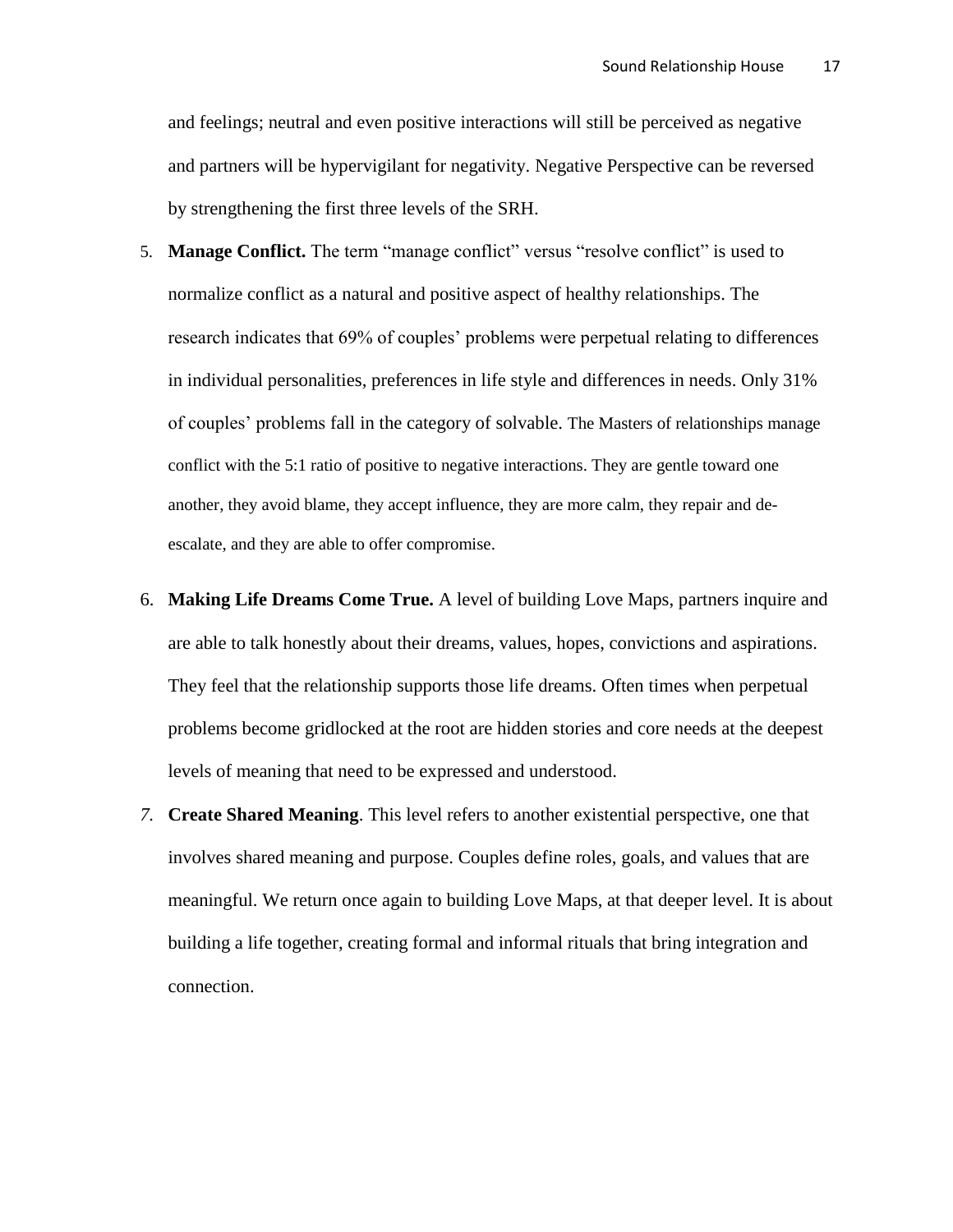and feelings; neutral and even positive interactions will still be perceived as negative and partners will be hypervigilant for negativity. Negative Perspective can be reversed by strengthening the first three levels of the SRH.

- 5. **Manage Conflict.** The term "manage conflict" versus "resolve conflict" is used to normalize conflict as a natural and positive aspect of healthy relationships. The research indicates that 69% of couples' problems were perpetual relating to differences in individual personalities, preferences in life style and differences in needs. Only 31% of couples' problems fall in the category of solvable. The Masters of relationships manage conflict with the 5:1 ratio of positive to negative interactions. They are gentle toward one another, they avoid blame, they accept influence, they are more calm, they repair and deescalate, and they are able to offer compromise.
- 6. **Making Life Dreams Come True.** A level of building Love Maps, partners inquire and are able to talk honestly about their dreams, values, hopes, convictions and aspirations. They feel that the relationship supports those life dreams. Often times when perpetual problems become gridlocked at the root are hidden stories and core needs at the deepest levels of meaning that need to be expressed and understood.
- *7.* **Create Shared Meaning**. This level refers to another existential perspective, one that involves shared meaning and purpose. Couples define roles, goals, and values that are meaningful. We return once again to building Love Maps, at that deeper level. It is about building a life together, creating formal and informal rituals that bring integration and connection.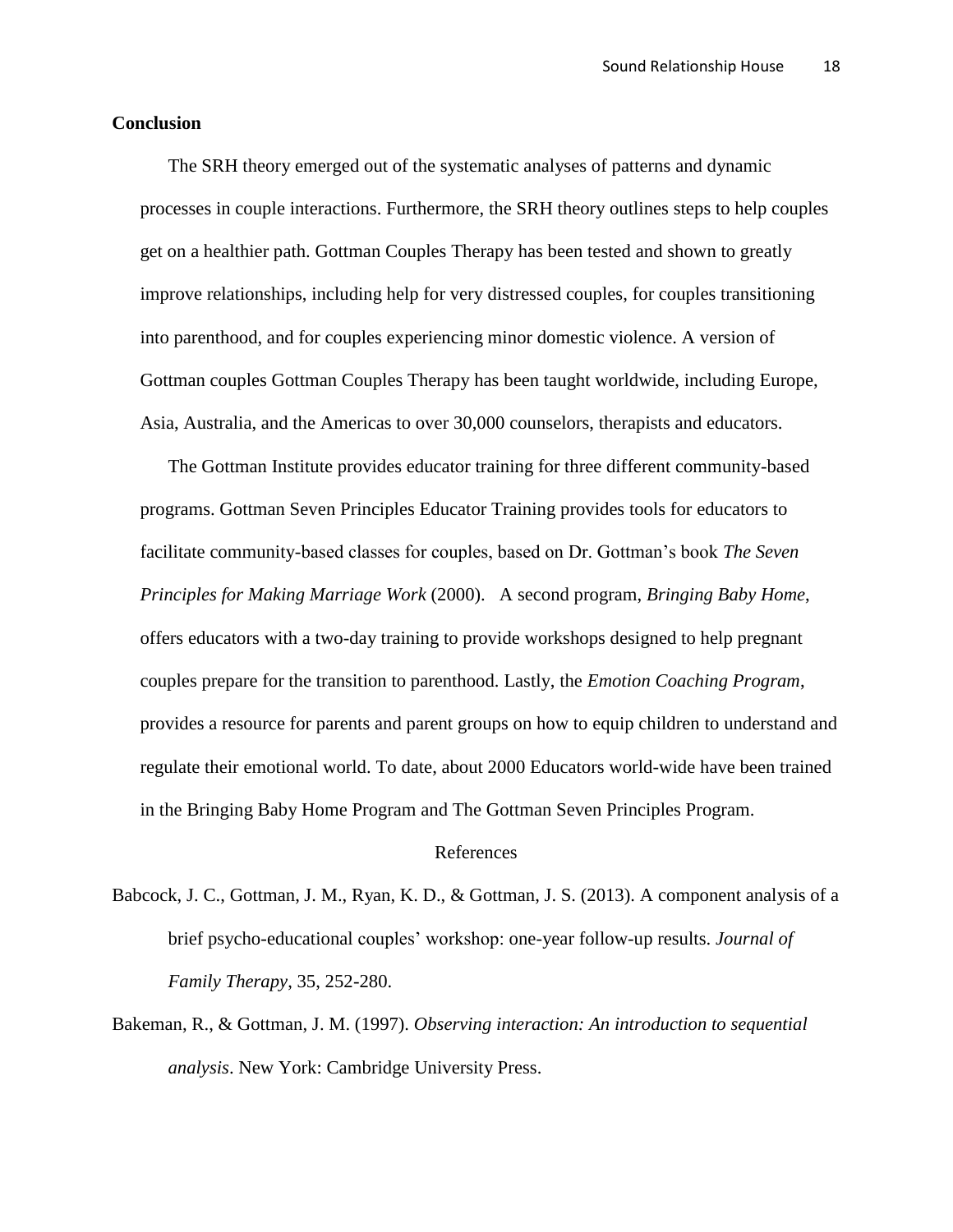### **Conclusion**

The SRH theory emerged out of the systematic analyses of patterns and dynamic processes in couple interactions. Furthermore, the SRH theory outlines steps to help couples get on a healthier path. Gottman Couples Therapy has been tested and shown to greatly improve relationships, including help for very distressed couples, for couples transitioning into parenthood, and for couples experiencing minor domestic violence. A version of Gottman couples Gottman Couples Therapy has been taught worldwide, including Europe, Asia, Australia, and the Americas to over 30,000 counselors, therapists and educators.

The Gottman Institute provides educator training for three different community-based programs. Gottman Seven Principles Educator Training provides tools for educators to facilitate community-based classes for couples, based on Dr. Gottman's book *The Seven Principles for Making Marriage Work* (2000). A second program, *Bringing Baby Home*, offers educators with a two-day training to provide workshops designed to help pregnant couples prepare for the transition to parenthood. Lastly, the *Emotion Coaching Program*, provides a resource for parents and parent groups on how to equip children to understand and regulate their emotional world. To date, about 2000 Educators world-wide have been trained in the Bringing Baby Home Program and The Gottman Seven Principles Program.

### References

- Babcock, J. C., Gottman, J. M., Ryan, K. D., & Gottman, J. S. (2013). A component analysis of a brief psycho-educational couples' workshop: one-year follow-up results. *Journal of Family Therapy*, 35, 252-280.
- Bakeman, R., & Gottman, J. M. (1997). *Observing interaction: An introduction to sequential analysis*. New York: Cambridge University Press.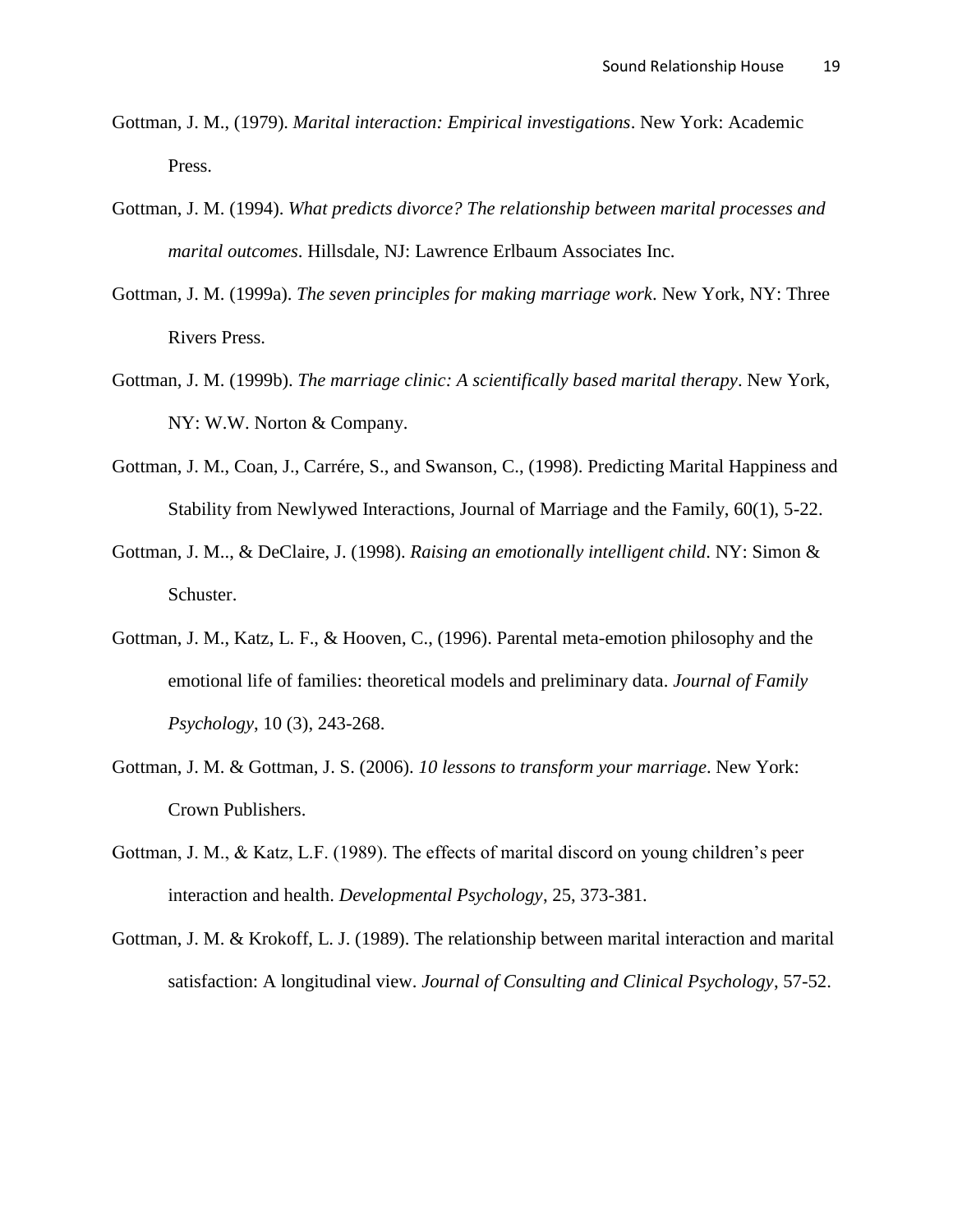- Gottman, J. M., (1979). *Marital interaction: Empirical investigations*. New York: Academic Press.
- Gottman, J. M. (1994). *What predicts divorce? The relationship between marital processes and marital outcomes*. Hillsdale, NJ: Lawrence Erlbaum Associates Inc.
- Gottman, J. M. (1999a). *The seven principles for making marriage work*. New York, NY: Three Rivers Press.
- Gottman, J. M. (1999b). *The marriage clinic: A scientifically based marital therapy*. New York, NY: W.W. Norton & Company.
- Gottman, J. M., Coan, J., Carrére, S., and Swanson, C., (1998). Predicting Marital Happiness and Stability from Newlywed Interactions, Journal of Marriage and the Family, 60(1), 5-22.
- Gottman, J. M.., & DeClaire, J. (1998). *Raising an emotionally intelligent child*. NY: Simon & Schuster.
- Gottman, J. M., Katz, L. F., & Hooven, C., (1996). Parental meta-emotion philosophy and the emotional life of families: theoretical models and preliminary data. *Journal of Family Psychology*, 10 (3), 243-268.
- Gottman, J. M. & Gottman, J. S. (2006). *10 lessons to transform your marriage*. New York: Crown Publishers.
- Gottman, J. M., & Katz, L.F. (1989). The effects of marital discord on young children's peer interaction and health. *Developmental Psychology*, 25, 373-381.
- Gottman, J. M. & Krokoff, L. J. (1989). The relationship between marital interaction and marital satisfaction: A longitudinal view. *Journal of Consulting and Clinical Psychology*, 57-52.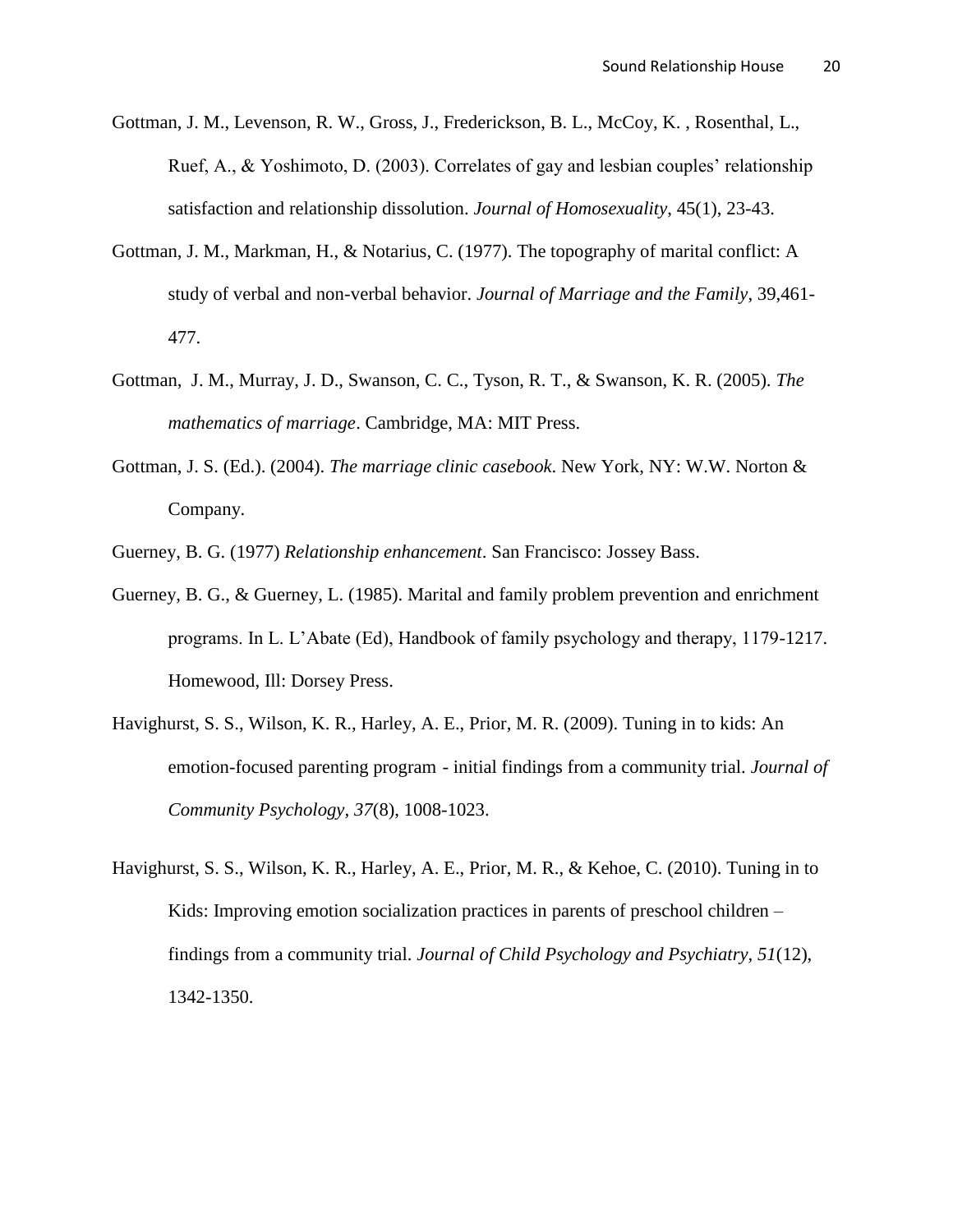- Gottman, J. M., Levenson, R. W., Gross, J., Frederickson, B. L., McCoy, K. , Rosenthal, L., Ruef, A., & Yoshimoto, D. (2003). Correlates of gay and lesbian couples' relationship satisfaction and relationship dissolution. *Journal of Homosexuality*, 45(1), 23-43.
- Gottman, J. M., Markman, H., & Notarius, C. (1977). The topography of marital conflict: A study of verbal and non-verbal behavior. *Journal of Marriage and the Family*, 39,461- 477.
- Gottman, J. M., Murray, J. D., Swanson, C. C., Tyson, R. T., & Swanson, K. R. (2005). *The mathematics of marriage*. Cambridge, MA: MIT Press.
- Gottman, J. S. (Ed.). (2004). *The marriage clinic casebook*. New York, NY: W.W. Norton & Company.

Guerney, B. G. (1977) *Relationship enhancement*. San Francisco: Jossey Bass.

- Guerney, B. G., & Guerney, L. (1985). Marital and family problem prevention and enrichment programs. In L. L'Abate (Ed), Handbook of family psychology and therapy, 1179-1217. Homewood, Ill: Dorsey Press.
- Havighurst, S. S., Wilson, K. R., Harley, A. E., Prior, M. R. (2009). Tuning in to kids: An emotion-focused parenting program - initial findings from a community trial. *Journal of Community Psychology, 37*(8), 1008-1023.
- Havighurst, S. S., Wilson, K. R., Harley, A. E., Prior, M. R., & Kehoe, C. (2010). Tuning in to Kids: Improving emotion socialization practices in parents of preschool children – findings from a community trial. *Journal of Child Psychology and Psychiatry, 51*(12), 1342-1350.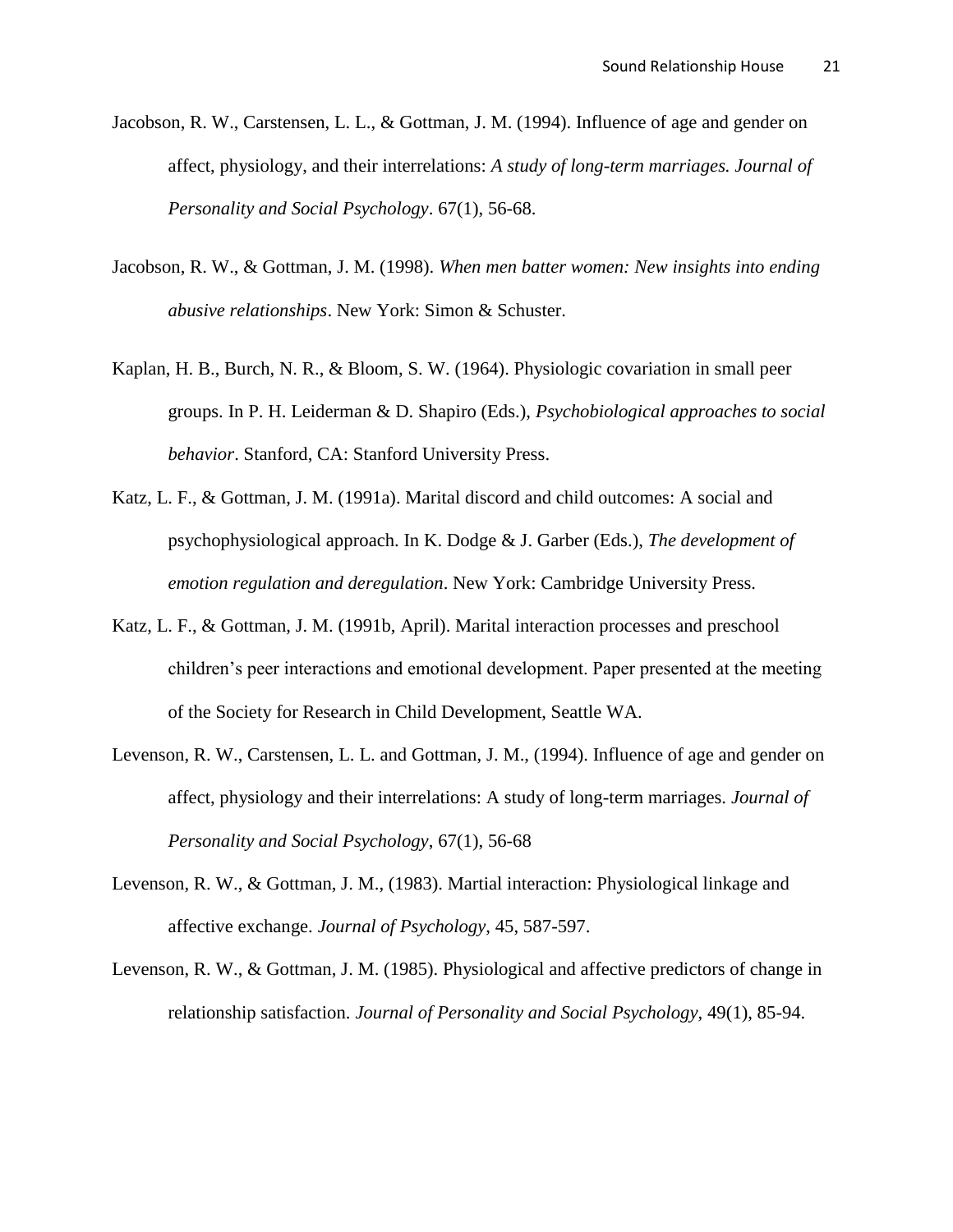- Jacobson, R. W., Carstensen, L. L., & Gottman, J. M. (1994). Influence of age and gender on affect, physiology, and their interrelations: *A study of long-term marriages. Journal of Personality and Social Psychology*. 67(1), 56-68.
- Jacobson, R. W., & Gottman, J. M. (1998). *When men batter women: New insights into ending abusive relationships*. New York: Simon & Schuster.
- Kaplan, H. B., Burch, N. R., & Bloom, S. W. (1964). Physiologic covariation in small peer groups. In P. H. Leiderman & D. Shapiro (Eds.), *Psychobiological approaches to social behavior*. Stanford, CA: Stanford University Press.
- Katz, L. F., & Gottman, J. M. (1991a). Marital discord and child outcomes: A social and psychophysiological approach. In K. Dodge & J. Garber (Eds.), *The development of emotion regulation and deregulation*. New York: Cambridge University Press.
- Katz, L. F., & Gottman, J. M. (1991b, April). Marital interaction processes and preschool children's peer interactions and emotional development. Paper presented at the meeting of the Society for Research in Child Development, Seattle WA.
- Levenson, R. W., Carstensen, L. L. and Gottman, J. M., (1994). Influence of age and gender on affect, physiology and their interrelations: A study of long-term marriages. *Journal of Personality and Social Psychology*, 67(1), 56-68
- Levenson, R. W., & Gottman, J. M., (1983). Martial interaction: Physiological linkage and affective exchange. *Journal of Psychology*, 45, 587-597.
- Levenson, R. W., & Gottman, J. M. (1985). Physiological and affective predictors of change in relationship satisfaction. *Journal of Personality and Social Psychology*, 49(1), 85-94.